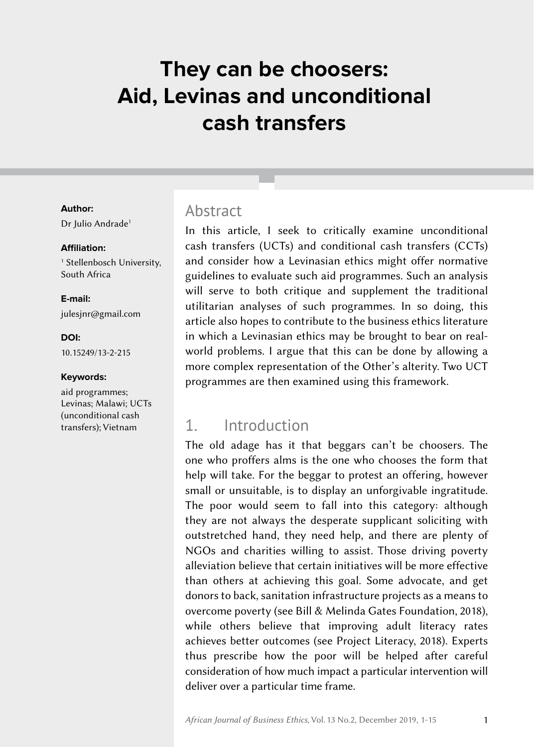# **They can be choosers: Aid, Levinas and unconditional cash transfers**

#### **Author:**

Dr Julio Andrade<sup>1</sup>

#### **Affiliation:**

1 Stellenbosch University, South Africa

**E-mail:** [julesjnr@gmail.com](mailto:julesjnr%40gmail.com?subject=)

**DOI:** [10.15249/13-2-215](https://doi.org/10.15249/13-2-215)

#### **Keywords:**

aid programmes; Levinas; Malawi; UCTs (unconditional cash transfers); Vietnam

### **Abstract**

In this article, I seek to critically examine unconditional cash transfers (UCTs) and conditional cash transfers (CCTs) and consider how a Levinasian ethics might offer normative guidelines to evaluate such aid programmes. Such an analysis will serve to both critique and supplement the traditional utilitarian analyses of such programmes. In so doing, this article also hopes to contribute to the business ethics literature in which a Levinasian ethics may be brought to bear on realworld problems. I argue that this can be done by allowing a more complex representation of the Other's alterity. Two UCT programmes are then examined using this framework.

# 1. Introduction

The old adage has it that beggars can't be choosers. The one who proffers alms is the one who chooses the form that help will take. For the beggar to protest an offering, however small or unsuitable, is to display an unforgivable ingratitude. The poor would seem to fall into this category: although they are not always the desperate supplicant soliciting with outstretched hand, they need help, and there are plenty of NGOs and charities willing to assist. Those driving poverty alleviation believe that certain initiatives will be more effective than others at achieving this goal. Some advocate, and get donors to back, sanitation infrastructure projects as a means to overcome poverty (see Bill & Melinda Gates Foundation, 2018), while others believe that improving adult literacy rates achieves better outcomes (see Project Literacy, 2018). Experts thus prescribe how the poor will be helped after careful consideration of how much impact a particular intervention will deliver over a particular time frame.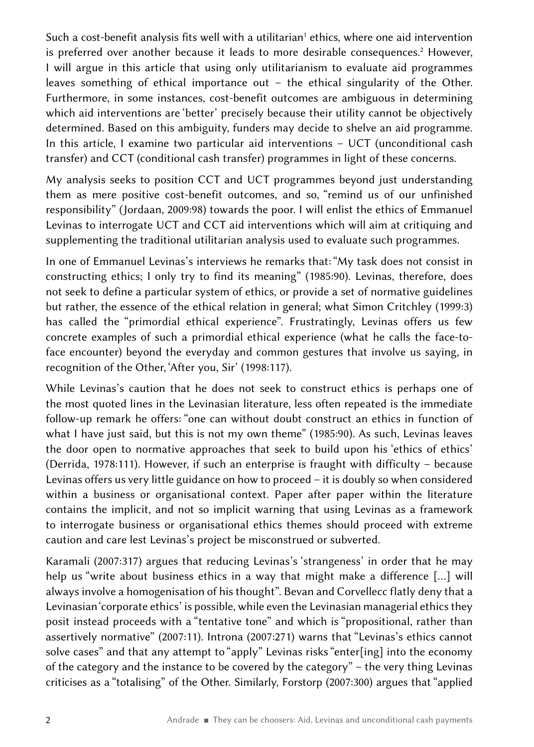Such a cost-benefit analysis fits well with a utilitarian<sup>1</sup> ethics, where one aid intervention is preferred over another because it leads to more desirable consequences.<sup>2</sup> However, I will argue in this article that using only utilitarianism to evaluate aid programmes leaves something of ethical importance out – the ethical singularity of the Other. Furthermore, in some instances, cost-benefit outcomes are ambiguous in determining which aid interventions are 'better' precisely because their utility cannot be objectively determined. Based on this ambiguity, funders may decide to shelve an aid programme. In this article, I examine two particular aid interventions – UCT (unconditional cash transfer) and CCT (conditional cash transfer) programmes in light of these concerns.

My analysis seeks to position CCT and UCT programmes beyond just understanding them as mere positive cost-benefit outcomes, and so, "remind us of our unfinished responsibility" (Jordaan, 2009:98) towards the poor. I will enlist the ethics of Emmanuel Levinas to interrogate UCT and CCT aid interventions which will aim at critiquing and supplementing the traditional utilitarian analysis used to evaluate such programmes.

In one of Emmanuel Levinas's interviews he remarks that: "My task does not consist in constructing ethics; I only try to find its meaning" (1985:90). Levinas, therefore, does not seek to define a particular system of ethics, or provide a set of normative guidelines but rather, the essence of the ethical relation in general; what Simon Critchley (1999:3) has called the "primordial ethical experience". Frustratingly, Levinas offers us few concrete examples of such a primordial ethical experience (what he calls the face-toface encounter) beyond the everyday and common gestures that involve us saying, in recognition of the Other, 'After you, Sir' (1998:117).

While Levinas's caution that he does not seek to construct ethics is perhaps one of the most quoted lines in the Levinasian literature, less often repeated is the immediate follow-up remark he offers: "one can without doubt construct an ethics in function of what I have just said, but this is not my own theme" (1985:90). As such, Levinas leaves the door open to normative approaches that seek to build upon his 'ethics of ethics' (Derrida, 1978:111). However, if such an enterprise is fraught with difficulty – because Levinas offers us very little guidance on how to proceed – it is doubly so when considered within a business or organisational context. Paper after paper within the literature contains the implicit, and not so implicit warning that using Levinas as a framework to interrogate business or organisational ethics themes should proceed with extreme caution and care lest Levinas's project be misconstrued or subverted.

Karamali (2007:317) argues that reducing Levinas's 'strangeness' in order that he may help us "write about business ethics in a way that might make a difference […] will always involve a homogenisation of his thought". Bevan and Corvellecc flatly deny that a Levinasian 'corporate ethics' is possible, while even the Levinasian managerial ethics they posit instead proceeds with a "tentative tone" and which is "propositional, rather than assertively normative" (2007:11). Introna (2007:271) warns that "Levinas's ethics cannot solve cases" and that any attempt to "apply" Levinas risks "enter[ing] into the economy of the category and the instance to be covered by the category" – the very thing Levinas criticises as a "totalising" of the Other. Similarly, Forstorp (2007:300) argues that "applied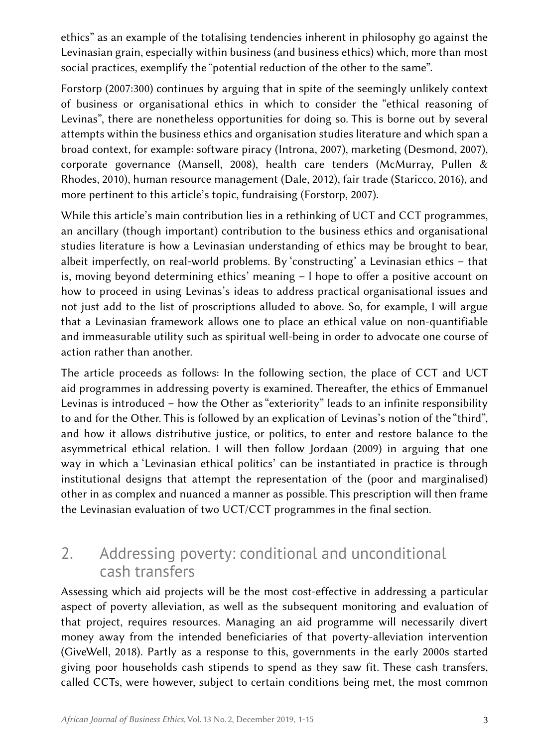ethics" as an example of the totalising tendencies inherent in philosophy go against the Levinasian grain, especially within business (and business ethics) which, more than most social practices, exemplify the "potential reduction of the other to the same".

Forstorp (2007:300) continues by arguing that in spite of the seemingly unlikely context of business or organisational ethics in which to consider the "ethical reasoning of Levinas", there are nonetheless opportunities for doing so. This is borne out by several attempts within the business ethics and organisation studies literature and which span a broad context, for example: software piracy (Introna, 2007), marketing (Desmond, 2007), corporate governance (Mansell, 2008), health care tenders (McMurray, Pullen & Rhodes, 2010), human resource management (Dale, 2012), fair trade (Staricco, 2016), and more pertinent to this article's topic, fundraising (Forstorp, 2007).

While this article's main contribution lies in a rethinking of UCT and CCT programmes, an ancillary (though important) contribution to the business ethics and organisational studies literature is how a Levinasian understanding of ethics may be brought to bear, albeit imperfectly, on real-world problems. By 'constructing' a Levinasian ethics – that is, moving beyond determining ethics' meaning – l hope to offer a positive account on how to proceed in using Levinas's ideas to address practical organisational issues and not just add to the list of proscriptions alluded to above. So, for example, I will argue that a Levinasian framework allows one to place an ethical value on non-quantifiable and immeasurable utility such as spiritual well‑being in order to advocate one course of action rather than another.

The article proceeds as follows: In the following section, the place of CCT and UCT aid programmes in addressing poverty is examined. Thereafter, the ethics of Emmanuel Levinas is introduced – how the Other as "exteriority" leads to an infinite responsibility to and for the Other. This is followed by an explication of Levinas's notion of the "third", and how it allows distributive justice, or politics, to enter and restore balance to the asymmetrical ethical relation. I will then follow Jordaan (2009) in arguing that one way in which a 'Levinasian ethical politics' can be instantiated in practice is through institutional designs that attempt the representation of the (poor and marginalised) other in as complex and nuanced a manner as possible. This prescription will then frame the Levinasian evaluation of two UCT/CCT programmes in the final section.

# 2. Addressing poverty: conditional and unconditional cash transfers

Assessing which aid projects will be the most cost-effective in addressing a particular aspect of poverty alleviation, as well as the subsequent monitoring and evaluation of that project, requires resources. Managing an aid programme will necessarily divert money away from the intended beneficiaries of that poverty-alleviation intervention (GiveWell, 2018). Partly as a response to this, governments in the early 2000s started giving poor households cash stipends to spend as they saw fit. These cash transfers, called CCTs, were however, subject to certain conditions being met, the most common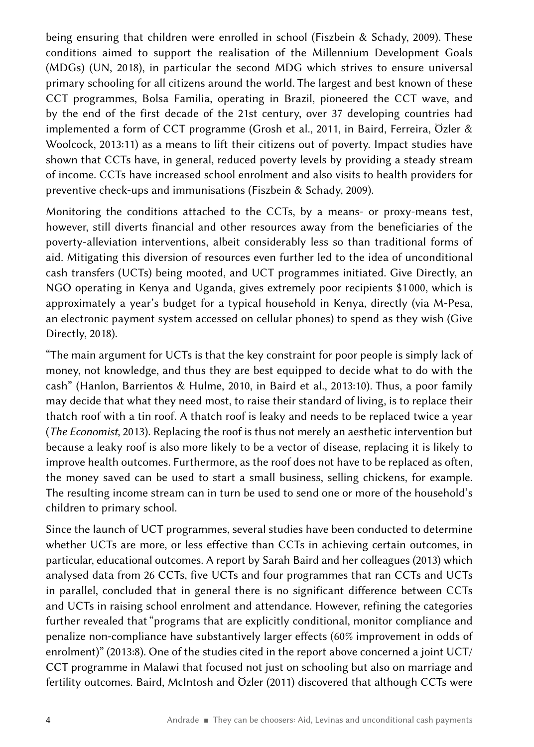being ensuring that children were enrolled in school (Fiszbein & Schady, 2009). These conditions aimed to support the realisation of the Millennium Development Goals (MDGs) (UN, 2018), in particular the second MDG which strives to ensure universal primary schooling for all citizens around the world. The largest and best known of these CCT programmes, Bolsa Familia, operating in Brazil, pioneered the CCT wave, and by the end of the first decade of the 21st century, over 37 developing countries had implemented a form of CCT programme (Grosh et al., 2011, in Baird, Ferreira, Özler & Woolcock, 2013:11) as a means to lift their citizens out of poverty. Impact studies have shown that CCTs have, in general, reduced poverty levels by providing a steady stream of income. CCTs have increased school enrolment and also visits to health providers for preventive check-ups and immunisations (Fiszbein & Schady, 2009).

Monitoring the conditions attached to the CCTs, by a means- or proxy-means test, however, still diverts financial and other resources away from the beneficiaries of the poverty-alleviation interventions, albeit considerably less so than traditional forms of aid. Mitigating this diversion of resources even further led to the idea of unconditional cash transfers (UCTs) being mooted, and UCT programmes initiated. Give Directly, an NGO operating in Kenya and Uganda, gives extremely poor recipients \$1 000, which is approximately a year's budget for a typical household in Kenya, directly (via M‑Pesa, an electronic payment system accessed on cellular phones) to spend as they wish (Give Directly, 2018).

"The main argument for UCTs is that the key constraint for poor people is simply lack of money, not knowledge, and thus they are best equipped to decide what to do with the cash" (Hanlon, Barrientos & Hulme, 2010, in Baird et al., 2013:10). Thus, a poor family may decide that what they need most, to raise their standard of living, is to replace their thatch roof with a tin roof. A thatch roof is leaky and needs to be replaced twice a year (*The Economist*, 2013). Replacing the roof is thus not merely an aesthetic intervention but because a leaky roof is also more likely to be a vector of disease, replacing it is likely to improve health outcomes. Furthermore, as the roof does not have to be replaced as often, the money saved can be used to start a small business, selling chickens, for example. The resulting income stream can in turn be used to send one or more of the household's children to primary school.

Since the launch of UCT programmes, several studies have been conducted to determine whether UCTs are more, or less effective than CCTs in achieving certain outcomes, in particular, educational outcomes. A report by Sarah Baird and her colleagues (2013) which analysed data from 26 CCTs, five UCTs and four programmes that ran CCTs and UCTs in parallel, concluded that in general there is no significant difference between CCTs and UCTs in raising school enrolment and attendance. However, refining the categories further revealed that "programs that are explicitly conditional, monitor compliance and penalize non-compliance have substantively larger effects (60% improvement in odds of enrolment)" (2013:8). One of the studies cited in the report above concerned a joint UCT/ CCT programme in Malawi that focused not just on schooling but also on marriage and fertility outcomes. Baird, McIntosh and Özler (2011) discovered that although CCTs were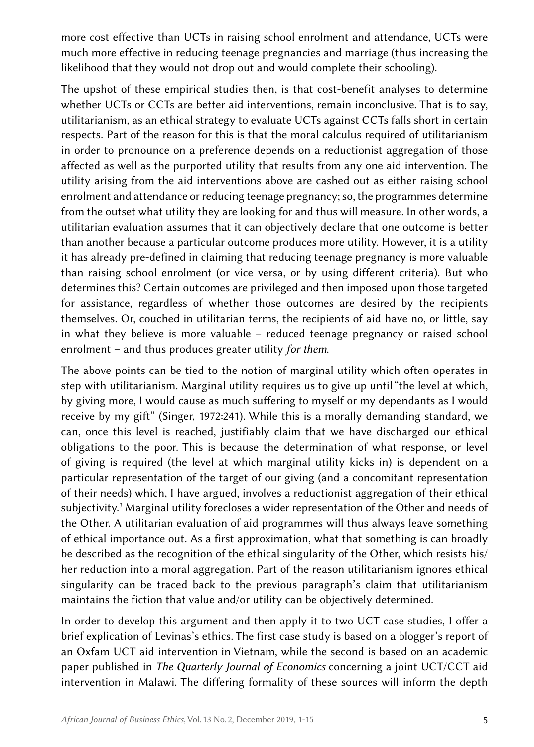more cost effective than UCTs in raising school enrolment and attendance, UCTs were much more effective in reducing teenage pregnancies and marriage (thus increasing the likelihood that they would not drop out and would complete their schooling).

The upshot of these empirical studies then, is that cost-benefit analyses to determine whether UCTs or CCTs are better aid interventions, remain inconclusive. That is to say, utilitarianism, as an ethical strategy to evaluate UCTs against CCTs falls short in certain respects. Part of the reason for this is that the moral calculus required of utilitarianism in order to pronounce on a preference depends on a reductionist aggregation of those affected as well as the purported utility that results from any one aid intervention. The utility arising from the aid interventions above are cashed out as either raising school enrolment and attendance or reducing teenage pregnancy; so, the programmes determine from the outset what utility they are looking for and thus will measure. In other words, a utilitarian evaluation assumes that it can objectively declare that one outcome is better than another because a particular outcome produces more utility. However, it is a utility it has already pre-defined in claiming that reducing teenage pregnancy is more valuable than raising school enrolment (or vice versa, or by using different criteria). But who determines this? Certain outcomes are privileged and then imposed upon those targeted for assistance, regardless of whether those outcomes are desired by the recipients themselves. Or, couched in utilitarian terms, the recipients of aid have no, or little, say in what they believe is more valuable – reduced teenage pregnancy or raised school enrolment – and thus produces greater utility *for them*.

The above points can be tied to the notion of marginal utility which often operates in step with utilitarianism. Marginal utility requires us to give up until "the level at which, by giving more, I would cause as much suffering to myself or my dependants as I would receive by my gift" (Singer, 1972:241). While this is a morally demanding standard, we can, once this level is reached, justifiably claim that we have discharged our ethical obligations to the poor. This is because the determination of what response, or level of giving is required (the level at which marginal utility kicks in) is dependent on a particular representation of the target of our giving (and a concomitant representation of their needs) which, I have argued, involves a reductionist aggregation of their ethical subjectivity.<sup>3</sup> Marginal utility forecloses a wider representation of the Other and needs of the Other. A utilitarian evaluation of aid programmes will thus always leave something of ethical importance out. As a first approximation, what that something is can broadly be described as the recognition of the ethical singularity of the Other, which resists his/ her reduction into a moral aggregation. Part of the reason utilitarianism ignores ethical singularity can be traced back to the previous paragraph's claim that utilitarianism maintains the fiction that value and/or utility can be objectively determined.

In order to develop this argument and then apply it to two UCT case studies, I offer a brief explication of Levinas's ethics. The first case study is based on a blogger's report of an Oxfam UCT aid intervention in Vietnam, while the second is based on an academic paper published in *The Quarterly Journal of Economics* concerning a joint UCT/CCT aid intervention in Malawi. The differing formality of these sources will inform the depth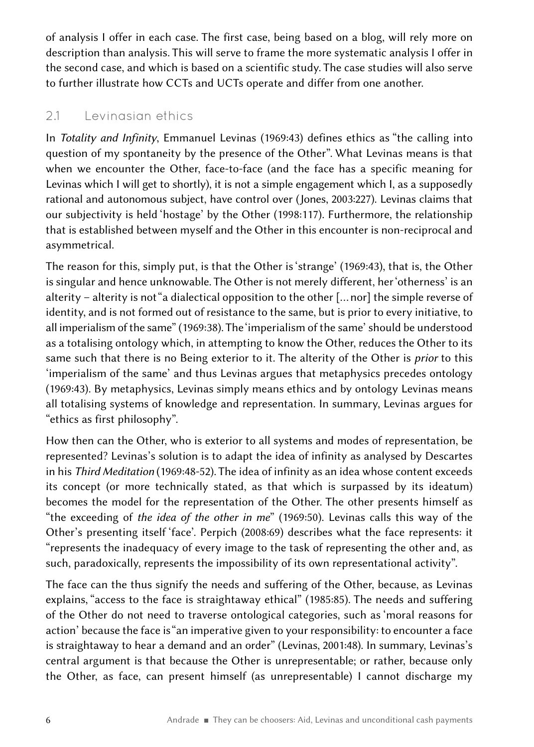of analysis I offer in each case. The first case, being based on a blog, will rely more on description than analysis. This will serve to frame the more systematic analysis I offer in the second case, and which is based on a scientific study. The case studies will also serve to further illustrate how CCTs and UCTs operate and differ from one another.

#### 2.1 Levinasian ethics

In *Totality and Infinity*, Emmanuel Levinas (1969:43) defines ethics as "the calling into question of my spontaneity by the presence of the Other". What Levinas means is that when we encounter the Other, face-to-face (and the face has a specific meaning for Levinas which I will get to shortly), it is not a simple engagement which I, as a supposedly rational and autonomous subject, have control over (Jones, 2003:227). Levinas claims that our subjectivity is held 'hostage' by the Other (1998:117). Furthermore, the relationship that is established between myself and the Other in this encounter is non-reciprocal and asymmetrical.

The reason for this, simply put, is that the Other is 'strange' (1969:43), that is, the Other is singular and hence unknowable. The Other is not merely different, her 'otherness' is an alterity – alterity is not "a dialectical opposition to the other [… nor] the simple reverse of identity, and is not formed out of resistance to the same, but is prior to every initiative, to all imperialism of the same" (1969:38). The 'imperialism of the same' should be understood as a totalising ontology which, in attempting to know the Other, reduces the Other to its same such that there is no Being exterior to it. The alterity of the Other is *prior* to this 'imperialism of the same' and thus Levinas argues that metaphysics precedes ontology (1969:43). By metaphysics, Levinas simply means ethics and by ontology Levinas means all totalising systems of knowledge and representation. In summary, Levinas argues for "ethics as first philosophy".

How then can the Other, who is exterior to all systems and modes of representation, be represented? Levinas's solution is to adapt the idea of infinity as analysed by Descartes in his *Third Meditation* (1969:48‑52). The idea of infinity as an idea whose content exceeds its concept (or more technically stated, as that which is surpassed by its ideatum) becomes the model for the representation of the Other. The other presents himself as "the exceeding of *the idea of the other in me*" (1969:50). Levinas calls this way of the Other's presenting itself 'face'. Perpich (2008:69) describes what the face represents: it "represents the inadequacy of every image to the task of representing the other and, as such, paradoxically, represents the impossibility of its own representational activity".

The face can the thus signify the needs and suffering of the Other, because, as Levinas explains, "access to the face is straightaway ethical" (1985:85). The needs and suffering of the Other do not need to traverse ontological categories, such as 'moral reasons for action' because the face is "an imperative given to your responsibility: to encounter a face is straightaway to hear a demand and an order" (Levinas, 2001:48). In summary, Levinas's central argument is that because the Other is unrepresentable; or rather, because only the Other, as face, can present himself (as unrepresentable) I cannot discharge my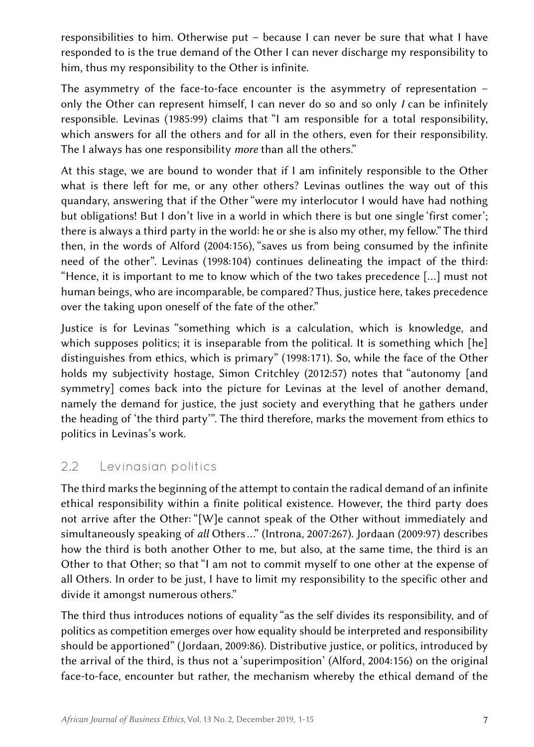responsibilities to him. Otherwise put – because I can never be sure that what I have responded to is the true demand of the Other I can never discharge my responsibility to him, thus my responsibility to the Other is infinite.

The asymmetry of the face-to-face encounter is the asymmetry of representation – only the Other can represent himself, I can never do so and so only *I* can be infinitely responsible. Levinas (1985:99) claims that "I am responsible for a total responsibility, which answers for all the others and for all in the others, even for their responsibility. The I always has one responsibility *more* than all the others."

At this stage, we are bound to wonder that if I am infinitely responsible to the Other what is there left for me, or any other others? Levinas outlines the way out of this quandary, answering that if the Other "were my interlocutor I would have had nothing but obligations! But I don't live in a world in which there is but one single 'first comer'; there is always a third party in the world: he or she is also my other, my fellow." The third then, in the words of Alford (2004:156), "saves us from being consumed by the infinite need of the other". Levinas (1998:104) continues delineating the impact of the third: "Hence, it is important to me to know which of the two takes precedence […] must not human beings, who are incomparable, be compared? Thus, justice here, takes precedence over the taking upon oneself of the fate of the other."

Justice is for Levinas "something which is a calculation, which is knowledge, and which supposes politics; it is inseparable from the political. It is something which [he] distinguishes from ethics, which is primary" (1998:171). So, while the face of the Other holds my subjectivity hostage, Simon Critchley (2012:57) notes that "autonomy [and symmetry] comes back into the picture for Levinas at the level of another demand, namely the demand for justice, the just society and everything that he gathers under the heading of  'the third party'". The third therefore, marks the movement from ethics to politics in Levinas's work.

### 2.2 Levinasian politics

The third marks the beginning of the attempt to contain the radical demand of an infinite ethical responsibility within a finite political existence. However, the third party does not arrive after the Other: "[W]e cannot speak of the Other without immediately and simultaneously speaking of *all* Others …" (Introna, 2007:267). Jordaan (2009:97) describes how the third is both another Other to me, but also, at the same time, the third is an Other to that Other; so that "I am not to commit myself to one other at the expense of all Others. In order to be just, I have to limit my responsibility to the specific other and divide it amongst numerous others."

The third thus introduces notions of equality "as the self divides its responsibility, and of politics as competition emerges over how equality should be interpreted and responsibility should be apportioned" (Jordaan, 2009:86). Distributive justice, or politics, introduced by the arrival of the third, is thus not a 'superimposition' (Alford, 2004:156) on the original face-to-face, encounter but rather, the mechanism whereby the ethical demand of the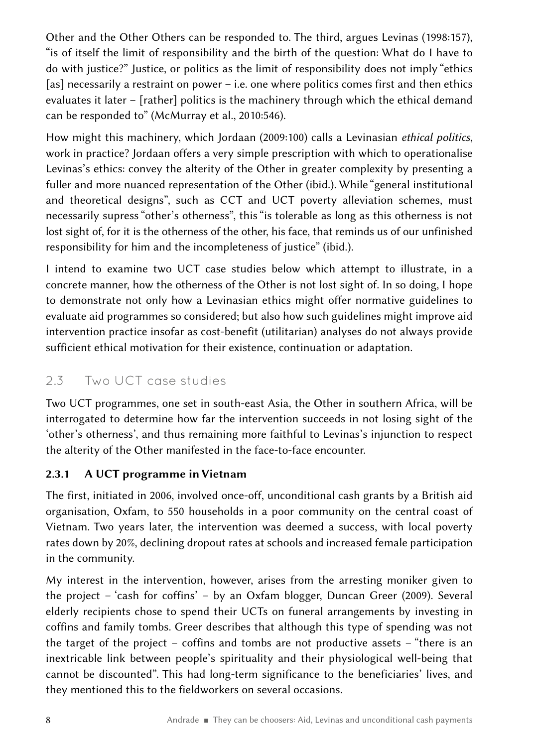Other and the Other Others can be responded to. The third, argues Levinas (1998:157), "is of itself the limit of responsibility and the birth of the question: What do I have to do with justice?" Justice, or politics as the limit of responsibility does not imply "ethics [as] necessarily a restraint on power – i.e. one where politics comes first and then ethics evaluates it later – [rather] politics is the machinery through which the ethical demand can be responded to" (McMurray et al., 2010:546).

How might this machinery, which Jordaan (2009:100) calls a Levinasian *ethical politics*, work in practice? Jordaan offers a very simple prescription with which to operationalise Levinas's ethics: convey the alterity of the Other in greater complexity by presenting a fuller and more nuanced representation of the Other (ibid.). While "general institutional and theoretical designs", such as CCT and UCT poverty alleviation schemes, must necessarily supress "other's otherness", this "is tolerable as long as this otherness is not lost sight of, for it is the otherness of the other, his face, that reminds us of our unfinished responsibility for him and the incompleteness of justice" (ibid.).

I intend to examine two UCT case studies below which attempt to illustrate, in a concrete manner, how the otherness of the Other is not lost sight of. In so doing, I hope to demonstrate not only how a Levinasian ethics might offer normative guidelines to evaluate aid programmes so considered; but also how such guidelines might improve aid intervention practice insofar as cost-benefit (utilitarian) analyses do not always provide sufficient ethical motivation for their existence, continuation or adaptation.

## 2.3 Two UCT case studies

Two UCT programmes, one set in south-east Asia, the Other in southern Africa, will be interrogated to determine how far the intervention succeeds in not losing sight of the 'other's otherness', and thus remaining more faithful to Levinas's injunction to respect the alterity of the Other manifested in the face-to-face encounter.

#### 2.3.1 A UCT programme in Vietnam

The first, initiated in 2006, involved once-off, unconditional cash grants by a British aid organisation, Oxfam, to 550 households in a poor community on the central coast of Vietnam. Two years later, the intervention was deemed a success, with local poverty rates down by 20%, declining dropout rates at schools and increased female participation in the community.

My interest in the intervention, however, arises from the arresting moniker given to the project – 'cash for coffins' – by an Oxfam blogger, Duncan Greer (2009). Several elderly recipients chose to spend their UCTs on funeral arrangements by investing in coffins and family tombs. Greer describes that although this type of spending was not the target of the project – coffins and tombs are not productive assets – "there is an inextricable link between people's spirituality and their physiological well-being that cannot be discounted". This had long-term significance to the beneficiaries' lives, and they mentioned this to the fieldworkers on several occasions.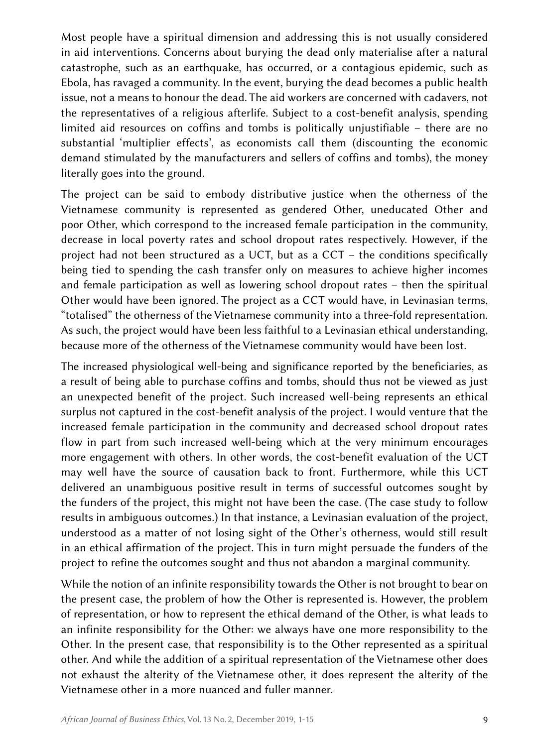Most people have a spiritual dimension and addressing this is not usually considered in aid interventions. Concerns about burying the dead only materialise after a natural catastrophe, such as an earthquake, has occurred, or a contagious epidemic, such as Ebola, has ravaged a community. In the event, burying the dead becomes a public health issue, not a means to honour the dead. The aid workers are concerned with cadavers, not the representatives of a religious afterlife. Subject to a cost-benefit analysis, spending limited aid resources on coffins and tombs is politically unjustifiable – there are no substantial 'multiplier effects', as economists call them (discounting the economic demand stimulated by the manufacturers and sellers of coffins and tombs), the money literally goes into the ground.

The project can be said to embody distributive justice when the otherness of the Vietnamese community is represented as gendered Other, uneducated Other and poor Other, which correspond to the increased female participation in the community, decrease in local poverty rates and school dropout rates respectively. However, if the project had not been structured as a UCT, but as a CCT – the conditions specifically being tied to spending the cash transfer only on measures to achieve higher incomes and female participation as well as lowering school dropout rates – then the spiritual Other would have been ignored. The project as a CCT would have, in Levinasian terms, "totalised" the otherness of the Vietnamese community into a three‑fold representation. As such, the project would have been less faithful to a Levinasian ethical understanding, because more of the otherness of the Vietnamese community would have been lost.

The increased physiological well-being and significance reported by the beneficiaries, as a result of being able to purchase coffins and tombs, should thus not be viewed as just an unexpected benefit of the project. Such increased well-being represents an ethical surplus not captured in the cost-benefit analysis of the project. I would venture that the increased female participation in the community and decreased school dropout rates flow in part from such increased well-being which at the very minimum encourages more engagement with others. In other words, the cost-benefit evaluation of the UCT may well have the source of causation back to front. Furthermore, while this UCT delivered an unambiguous positive result in terms of successful outcomes sought by the funders of the project, this might not have been the case. (The case study to follow results in ambiguous outcomes.) In that instance, a Levinasian evaluation of the project, understood as a matter of not losing sight of the Other's otherness, would still result in an ethical affirmation of the project. This in turn might persuade the funders of the project to refine the outcomes sought and thus not abandon a marginal community.

While the notion of an infinite responsibility towards the Other is not brought to bear on the present case, the problem of how the Other is represented is. However, the problem of representation, or how to represent the ethical demand of the Other, is what leads to an infinite responsibility for the Other: we always have one more responsibility to the Other. In the present case, that responsibility is to the Other represented as a spiritual other. And while the addition of a spiritual representation of the Vietnamese other does not exhaust the alterity of the Vietnamese other, it does represent the alterity of the Vietnamese other in a more nuanced and fuller manner.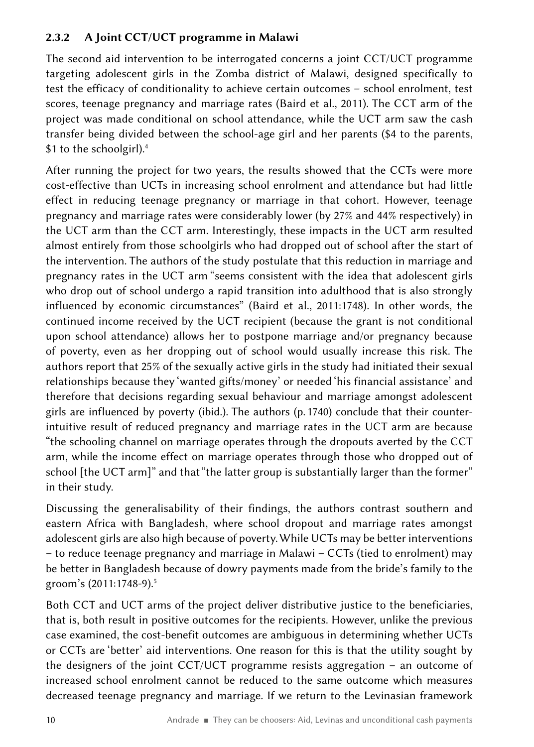#### 2.3.2 A Joint CCT/UCT programme in Malawi

The second aid intervention to be interrogated concerns a joint CCT/UCT programme targeting adolescent girls in the Zomba district of Malawi, designed specifically to test the efficacy of conditionality to achieve certain outcomes – school enrolment, test scores, teenage pregnancy and marriage rates (Baird et al., 2011). The CCT arm of the project was made conditional on school attendance, while the UCT arm saw the cash transfer being divided between the school-age girl and her parents (\$4 to the parents, \$1 to the schoolgirl).<sup>4</sup>

After running the project for two years, the results showed that the CCTs were more cost-effective than UCTs in increasing school enrolment and attendance but had little effect in reducing teenage pregnancy or marriage in that cohort. However, teenage pregnancy and marriage rates were considerably lower (by 27% and 44% respectively) in the UCT arm than the CCT arm. Interestingly, these impacts in the UCT arm resulted almost entirely from those schoolgirls who had dropped out of school after the start of the intervention. The authors of the study postulate that this reduction in marriage and pregnancy rates in the UCT arm "seems consistent with the idea that adolescent girls who drop out of school undergo a rapid transition into adulthood that is also strongly influenced by economic circumstances" (Baird et al., 2011:1748). In other words, the continued income received by the UCT recipient (because the grant is not conditional upon school attendance) allows her to postpone marriage and/or pregnancy because of poverty, even as her dropping out of school would usually increase this risk. The authors report that 25% of the sexually active girls in the study had initiated their sexual relationships because they 'wanted gifts/money' or needed 'his financial assistance' and therefore that decisions regarding sexual behaviour and marriage amongst adolescent girls are influenced by poverty (ibid.). The authors (p. 1740) conclude that their counterintuitive result of reduced pregnancy and marriage rates in the UCT arm are because "the schooling channel on marriage operates through the dropouts averted by the CCT arm, while the income effect on marriage operates through those who dropped out of school [the UCT arm]" and that "the latter group is substantially larger than the former" in their study.

Discussing the generalisability of their findings, the authors contrast southern and eastern Africa with Bangladesh, where school dropout and marriage rates amongst adolescent girls are also high because of poverty. While UCTs may be better interventions – to reduce teenage pregnancy and marriage in Malawi – CCTs (tied to enrolment) may be better in Bangladesh because of dowry payments made from the bride's family to the groom's (2011:1748-9).<sup>5</sup>

Both CCT and UCT arms of the project deliver distributive justice to the beneficiaries, that is, both result in positive outcomes for the recipients. However, unlike the previous case examined, the cost-benefit outcomes are ambiguous in determining whether UCTs or CCTs are 'better' aid interventions. One reason for this is that the utility sought by the designers of the joint CCT/UCT programme resists aggregation – an outcome of increased school enrolment cannot be reduced to the same outcome which measures decreased teenage pregnancy and marriage. If we return to the Levinasian framework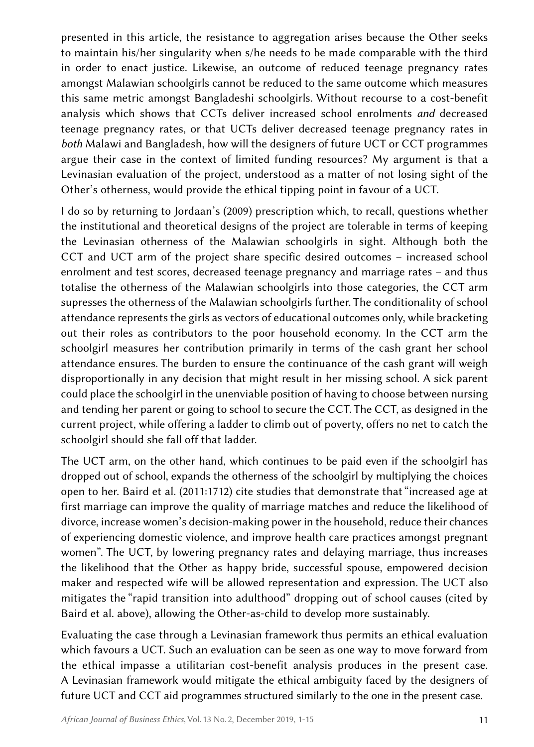presented in this article, the resistance to aggregation arises because the Other seeks to maintain his/her singularity when s/he needs to be made comparable with the third in order to enact justice. Likewise, an outcome of reduced teenage pregnancy rates amongst Malawian schoolgirls cannot be reduced to the same outcome which measures this same metric amongst Bangladeshi schoolgirls. Without recourse to a cost-benefit analysis which shows that CCTs deliver increased school enrolments *and* decreased teenage pregnancy rates, or that UCTs deliver decreased teenage pregnancy rates in *both* Malawi and Bangladesh, how will the designers of future UCT or CCT programmes argue their case in the context of limited funding resources? My argument is that a Levinasian evaluation of the project, understood as a matter of not losing sight of the Other's otherness, would provide the ethical tipping point in favour of a UCT.

I do so by returning to Jordaan's (2009) prescription which, to recall, questions whether the institutional and theoretical designs of the project are tolerable in terms of keeping the Levinasian otherness of the Malawian schoolgirls in sight. Although both the CCT and UCT arm of the project share specific desired outcomes – increased school enrolment and test scores, decreased teenage pregnancy and marriage rates – and thus totalise the otherness of the Malawian schoolgirls into those categories, the CCT arm supresses the otherness of the Malawian schoolgirls further. The conditionality of school attendance represents the girls as vectors of educational outcomes only, while bracketing out their roles as contributors to the poor household economy. In the CCT arm the schoolgirl measures her contribution primarily in terms of the cash grant her school attendance ensures. The burden to ensure the continuance of the cash grant will weigh disproportionally in any decision that might result in her missing school. A sick parent could place the schoolgirl in the unenviable position of having to choose between nursing and tending her parent or going to school to secure the CCT. The CCT, as designed in the current project, while offering a ladder to climb out of poverty, offers no net to catch the schoolgirl should she fall off that ladder.

The UCT arm, on the other hand, which continues to be paid even if the schoolgirl has dropped out of school, expands the otherness of the schoolgirl by multiplying the choices open to her. Baird et al. (2011:1712) cite studies that demonstrate that "increased age at first marriage can improve the quality of marriage matches and reduce the likelihood of divorce, increase women's decision-making power in the household, reduce their chances of experiencing domestic violence, and improve health care practices amongst pregnant women". The UCT, by lowering pregnancy rates and delaying marriage, thus increases the likelihood that the Other as happy bride, successful spouse, empowered decision maker and respected wife will be allowed representation and expression. The UCT also mitigates the "rapid transition into adulthood" dropping out of school causes (cited by Baird et al. above), allowing the Other-as-child to develop more sustainably.

Evaluating the case through a Levinasian framework thus permits an ethical evaluation which favours a UCT. Such an evaluation can be seen as one way to move forward from the ethical impasse a utilitarian cost-benefit analysis produces in the present case. A Levinasian framework would mitigate the ethical ambiguity faced by the designers of future UCT and CCT aid programmes structured similarly to the one in the present case.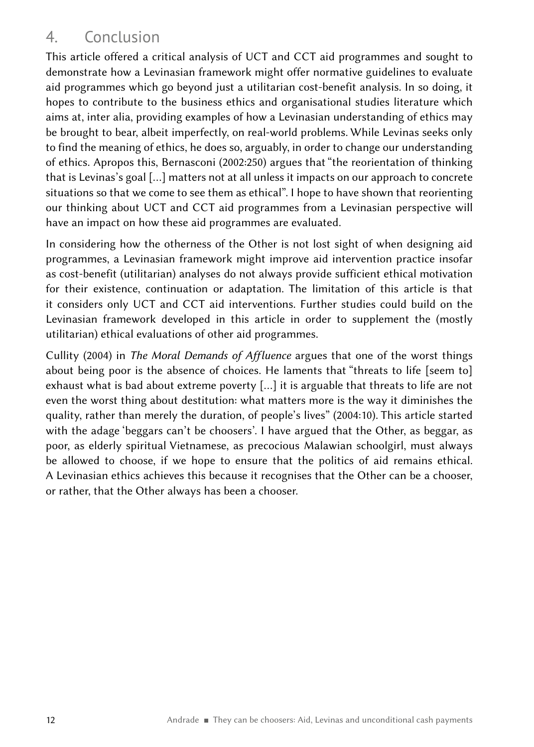# 4. Conclusion

This article offered a critical analysis of UCT and CCT aid programmes and sought to demonstrate how a Levinasian framework might offer normative guidelines to evaluate aid programmes which go beyond just a utilitarian cost-benefit analysis. In so doing, it hopes to contribute to the business ethics and organisational studies literature which aims at, inter alia, providing examples of how a Levinasian understanding of ethics may be brought to bear, albeit imperfectly, on real-world problems. While Levinas seeks only to find the meaning of ethics, he does so, arguably, in order to change our understanding of ethics. Apropos this, Bernasconi (2002:250) argues that "the reorientation of thinking that is Levinas's goal […] matters not at all unless it impacts on our approach to concrete situations so that we come to see them as ethical". I hope to have shown that reorienting our thinking about UCT and CCT aid programmes from a Levinasian perspective will have an impact on how these aid programmes are evaluated.

In considering how the otherness of the Other is not lost sight of when designing aid programmes, a Levinasian framework might improve aid intervention practice insofar as cost-benefit (utilitarian) analyses do not always provide sufficient ethical motivation for their existence, continuation or adaptation. The limitation of this article is that it considers only UCT and CCT aid interventions. Further studies could build on the Levinasian framework developed in this article in order to supplement the (mostly utilitarian) ethical evaluations of other aid programmes.

Cullity (2004) in *The Moral Demands of Affluence* argues that one of the worst things about being poor is the absence of choices. He laments that "threats to life [seem to] exhaust what is bad about extreme poverty […] it is arguable that threats to life are not even the worst thing about destitution: what matters more is the way it diminishes the quality, rather than merely the duration, of people's lives" (2004:10). This article started with the adage 'beggars can't be choosers'. I have argued that the Other, as beggar, as poor, as elderly spiritual Vietnamese, as precocious Malawian schoolgirl, must always be allowed to choose, if we hope to ensure that the politics of aid remains ethical. A Levinasian ethics achieves this because it recognises that the Other can be a chooser, or rather, that the Other always has been a chooser.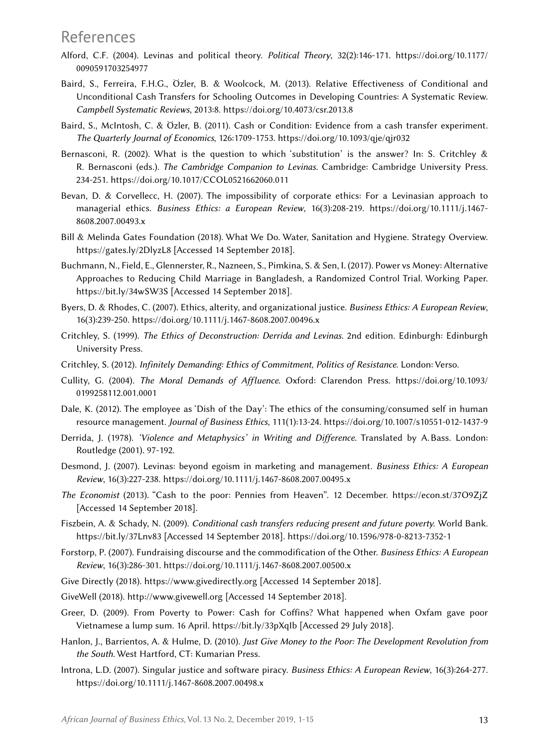### References

- Alford, C.F. (2004). Levinas and political theory. *Political Theory*, 32(2):146‑171. [https://doi.org/10.1177/](https://doi.org/10.1177/0090591703254977) [0090591703254977](https://doi.org/10.1177/0090591703254977)
- Baird, S., Ferreira, F.H.G., Özler, B. & Woolcock, M. (2013). Relative Effectiveness of Conditional and Unconditional Cash Transfers for Schooling Outcomes in Developing Countries: A Systematic Review. *Campbell Systematic Reviews*, 2013:8. <https://doi.org/10.4073/csr.2013.8>
- Baird, S., McIntosh, C. & Özler, B. (2011). Cash or Condition: Evidence from a cash transfer experiment. *The Quarterly Journal of Economics*, 126:1709‑1753.<https://doi.org/10.1093/qje/qjr032>
- Bernasconi, R. (2002). What is the question to which 'substitution' is the answer? In: S. Critchley & R. Bernasconi (eds.). *The Cambridge Companion to Levinas*. Cambridge: Cambridge University Press. 234‑251. https://doi.org/10.1017/CCOL0521662060.011
- Bevan, D. & Corvellecc, H. (2007). The impossibility of corporate ethics: For a Levinasian approach to managerial ethics. *Business Ethics: a European Review*, 16(3):208‑219. [https://doi.org/10.1111/j.1467-](https://doi.org/10.1111/j.1467-8608.2007.00493.x)[8608.2007.00493.x](https://doi.org/10.1111/j.1467-8608.2007.00493.x)
- Bill & Melinda Gates Foundation (2018). What We Do. Water, Sanitation and Hygiene. Strategy Overview. <https://gates.ly/2DlyzL8>[Accessed 14 September 2018].
- Buchmann, N., Field, E., Glennerster, R., Nazneen, S., Pimkina, S. & Sen, I. (2017). Power vs Money: Alternative Approaches to Reducing Child Marriage in Bangladesh, a Randomized Control Trial. Working Paper. <https://bit.ly/34wSW3S> [Accessed 14 September 2018].
- Byers, D. & Rhodes, C. (2007). Ethics, alterity, and organizational justice. *Business Ethics: A European Review*, 16(3):239‑250. <https://doi.org/10.1111/j.1467-8608.2007.00496.x>
- Critchley, S. (1999). *The Ethics of Deconstruction: Derrida and Levinas*. 2nd edition. Edinburgh: Edinburgh University Press.
- Critchley, S. (2012). *Infinitely Demanding: Ethics of Commitment, Politics of Resistance*. London: Verso.
- Cullity, G. (2004). *The Moral Demands of Affluence*. Oxford: Clarendon Press. [https://doi.org/10.1093/](https://doi.org/10.1093/0199258112.001.0001) [0199258112.001.0001](https://doi.org/10.1093/0199258112.001.0001)
- Dale, K. (2012). The employee as 'Dish of the Day': The ethics of the consuming/consumed self in human resource management. *Journal of Business Ethics*, 111(1):13‑24. <https://doi.org/10.1007/s10551-012-1437-9>
- Derrida, J. (1978). *'Violence and Metaphysics' in Writing and Difference*. Translated by A. Bass. London: Routledge (2001). 97‑192.
- Desmond, J. (2007). Levinas: beyond egoism in marketing and management. *Business Ethics: A European Review*, 16(3):227‑238. <https://doi.org/10.1111/j.1467-8608.2007.00495.x>
- *The Economist* (2013). "Cash to the poor: Pennies from Heaven". 12 December. <https://econ.st/37O9ZjZ> [Accessed 14 September 2018].
- Fiszbein, A. & Schady, N. (2009). *Conditional cash transfers reducing present and future poverty.* World Bank. <https://bit.ly/37Lnv83>[Accessed 14 September 2018].<https://doi.org/10.1596/978-0-8213-7352-1>
- Forstorp, P. (2007). Fundraising discourse and the commodification of the Other. *Business Ethics: A European Review*, 16(3):286‑301.<https://doi.org/10.1111/j.1467-8608.2007.00500.x>
- Give Directly (2018).<https://www.givedirectly.org> [Accessed 14 September 2018].
- GiveWell (2018).<http://www.givewell.org> [Accessed 14 September 2018].
- Greer, D. (2009). From Poverty to Power: Cash for Coffins? What happened when Oxfam gave poor Vietnamese a lump sum. 16 April.<https://bit.ly/33pXqIb> [Accessed 29 July 2018].
- Hanlon, J., Barrientos, A. & Hulme, D. (2010). *Just Give Money to the Poor: The Development Revolution from the South*. West Hartford, CT: Kumarian Press.
- Introna, L.D. (2007). Singular justice and software piracy. *Business Ethics: A European Review*, 16(3):264‑277. <https://doi.org/10.1111/j.1467-8608.2007.00498.x>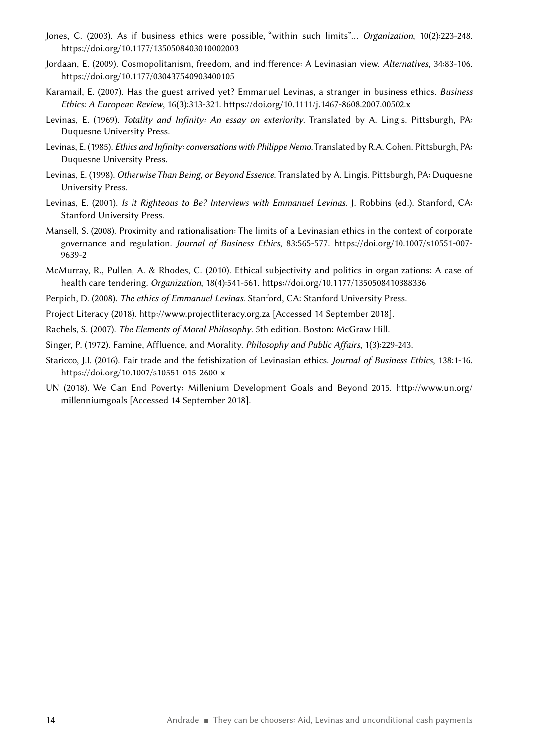- Jones, C. (2003). As if business ethics were possible, "within such limits"... *Organization*, 10(2):223-248. <https://doi.org/10.1177/1350508403010002003>
- Jordaan, E. (2009). Cosmopolitanism, freedom, and indifference: A Levinasian view. *Alternatives*, 34:83‑106. <https://doi.org/10.1177/030437540903400105>
- Karamail, E. (2007). Has the guest arrived yet? Emmanuel Levinas, a stranger in business ethics. *Business Ethics: A European Review*, 16(3):313‑321. <https://doi.org/10.1111/j.1467-8608.2007.00502.x>
- Levinas, E. (1969). *Totality and Infinity: An essay on exteriority*. Translated by A. Lingis. Pittsburgh, PA: Duquesne University Press.
- Levinas, E. (1985). *Ethics and Infinity: conversations with Philippe Nemo*. Translated by R.A. Cohen. Pittsburgh, PA: Duquesne University Press.
- Levinas, E. (1998). *Otherwise Than Being, or Beyond Essence.* Translated by A. Lingis. Pittsburgh, PA: Duquesne University Press.
- Levinas, E. (2001). *Is it Righteous to Be? Interviews with Emmanuel Levinas*. J. Robbins (ed.). Stanford, CA: Stanford University Press.
- Mansell, S. (2008). Proximity and rationalisation: The limits of a Levinasian ethics in the context of corporate governance and regulation. *Journal of Business Ethics*, 83:565‑577. [https://doi.org/10.1007/s10551-007-](https://doi.org/10.1007/s10551-007-9639-2)[9639-2](https://doi.org/10.1007/s10551-007-9639-2)
- McMurray, R., Pullen, A. & Rhodes, C. (2010). Ethical subjectivity and politics in organizations: A case of health care tendering. *Organization*, 18(4):541‑561.<https://doi.org/10.1177/1350508410388336>
- Perpich, D. (2008). *The ethics of Emmanuel Levinas*. Stanford, CA: Stanford University Press.
- Project Literacy (2018).<http://www.projectliteracy.org.za> [Accessed 14 September 2018].
- Rachels, S. (2007). *The Elements of Moral Philosophy*. 5th edition. Boston: McGraw Hill.
- Singer, P. (1972). Famine, Affluence, and Morality. *Philosophy and Public Affairs*, 1(3):229‑243.
- Staricco, J.I. (2016). Fair trade and the fetishization of Levinasian ethics. *Journal of Business Ethics*, 138:1‑16. https://doi.org/10.1007/s10551-015-2600-x
- UN (2018). We Can End Poverty: Millenium Development Goals and Beyond 2015. [http://www.un.org/](http://www.un.org/millenniumgoals) [millenniumgoals](http://www.un.org/millenniumgoals) [Accessed 14 September 2018].